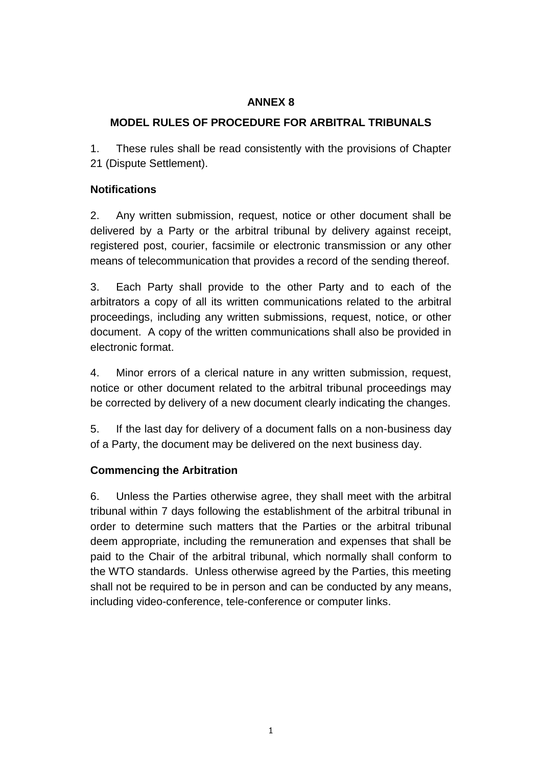# **ANNEX 8**

# **MODEL RULES OF PROCEDURE FOR ARBITRAL TRIBUNALS**

1. These rules shall be read consistently with the provisions of Chapter 21 (Dispute Settlement).

### **Notifications**

2. Any written submission, request, notice or other document shall be delivered by a Party or the arbitral tribunal by delivery against receipt, registered post, courier, facsimile or electronic transmission or any other means of telecommunication that provides a record of the sending thereof.

3. Each Party shall provide to the other Party and to each of the arbitrators a copy of all its written communications related to the arbitral proceedings, including any written submissions, request, notice, or other document. A copy of the written communications shall also be provided in electronic format.

4. Minor errors of a clerical nature in any written submission, request, notice or other document related to the arbitral tribunal proceedings may be corrected by delivery of a new document clearly indicating the changes.

5. If the last day for delivery of a document falls on a non-business day of a Party, the document may be delivered on the next business day.

### **Commencing the Arbitration**

6. Unless the Parties otherwise agree, they shall meet with the arbitral tribunal within 7 days following the establishment of the arbitral tribunal in order to determine such matters that the Parties or the arbitral tribunal deem appropriate, including the remuneration and expenses that shall be paid to the Chair of the arbitral tribunal, which normally shall conform to the WTO standards. Unless otherwise agreed by the Parties, this meeting shall not be required to be in person and can be conducted by any means, including video-conference, tele-conference or computer links.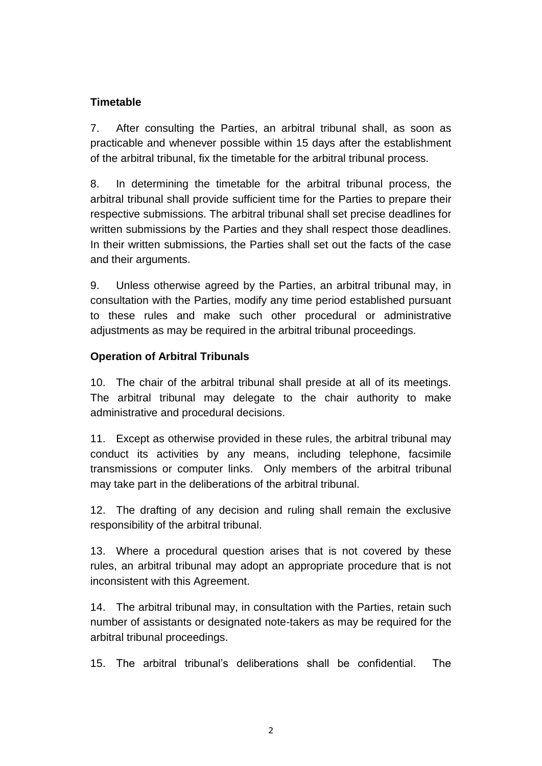## **Timetable**

7. After consulting the Parties, an arbitral tribunal shall, as soon as practicable and whenever possible within 15 days after the establishment of the arbitral tribunal, fix the timetable for the arbitral tribunal process.

8. In determining the timetable for the arbitral tribunal process, the arbitral tribunal shall provide sufficient time for the Parties to prepare their respective submissions. The arbitral tribunal shall set precise deadlines for written submissions by the Parties and they shall respect those deadlines. In their written submissions, the Parties shall set out the facts of the case and their arguments.

9. Unless otherwise agreed by the Parties, an arbitral tribunal may, in consultation with the Parties, modify any time period established pursuant to these rules and make such other procedural or administrative adjustments as may be required in the arbitral tribunal proceedings.

### **Operation of Arbitral Tribunals**

10. The chair of the arbitral tribunal shall preside at all of its meetings. The arbitral tribunal may delegate to the chair authority to make administrative and procedural decisions.

11. Except as otherwise provided in these rules, the arbitral tribunal may conduct its activities by any means, including telephone, facsimile transmissions or computer links. Only members of the arbitral tribunal may take part in the deliberations of the arbitral tribunal.

12. The drafting of any decision and ruling shall remain the exclusive responsibility of the arbitral tribunal.

13. Where a procedural question arises that is not covered by these rules, an arbitral tribunal may adopt an appropriate procedure that is not inconsistent with this Agreement.

14. The arbitral tribunal may, in consultation with the Parties, retain such number of assistants or designated note-takers as may be required for the arbitral tribunal proceedings.

15. The arbitral tribunal's deliberations shall be confidential. The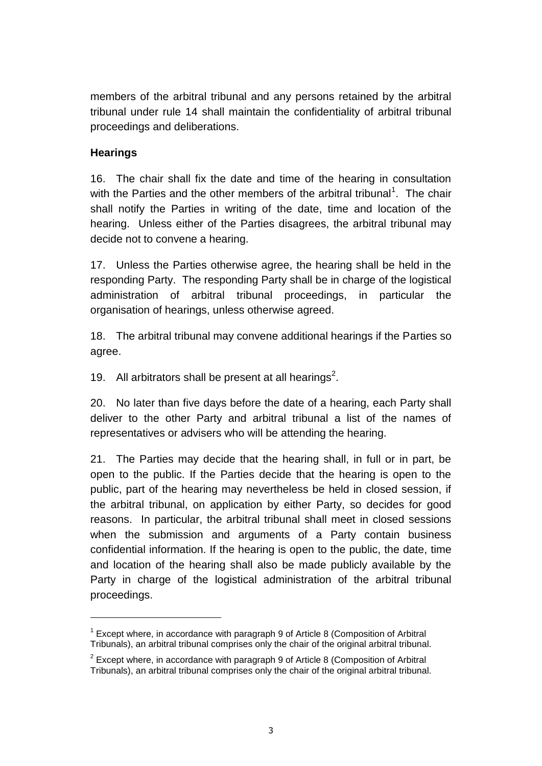members of the arbitral tribunal and any persons retained by the arbitral tribunal under rule 14 shall maintain the confidentiality of arbitral tribunal proceedings and deliberations.

### **Hearings**

 $\overline{a}$ 

16. The chair shall fix the date and time of the hearing in consultation with the Parties and the other members of the arbitral tribunal<sup>1</sup>. The chair shall notify the Parties in writing of the date, time and location of the hearing. Unless either of the Parties disagrees, the arbitral tribunal may decide not to convene a hearing.

17. Unless the Parties otherwise agree, the hearing shall be held in the responding Party. The responding Party shall be in charge of the logistical administration of arbitral tribunal proceedings, in particular the organisation of hearings, unless otherwise agreed.

18. The arbitral tribunal may convene additional hearings if the Parties so agree.

19. All arbitrators shall be present at all hearings<sup>2</sup>.

20. No later than five days before the date of a hearing, each Party shall deliver to the other Party and arbitral tribunal a list of the names of representatives or advisers who will be attending the hearing.

21. The Parties may decide that the hearing shall, in full or in part, be open to the public. If the Parties decide that the hearing is open to the public, part of the hearing may nevertheless be held in closed session, if the arbitral tribunal, on application by either Party, so decides for good reasons. In particular, the arbitral tribunal shall meet in closed sessions when the submission and arguments of a Party contain business confidential information. If the hearing is open to the public, the date, time and location of the hearing shall also be made publicly available by the Party in charge of the logistical administration of the arbitral tribunal proceedings.

 $1$  Except where, in accordance with paragraph 9 of Article 8 (Composition of Arbitral Tribunals), an arbitral tribunal comprises only the chair of the original arbitral tribunal.

 $2$  Except where, in accordance with paragraph 9 of Article 8 (Composition of Arbitral Tribunals), an arbitral tribunal comprises only the chair of the original arbitral tribunal.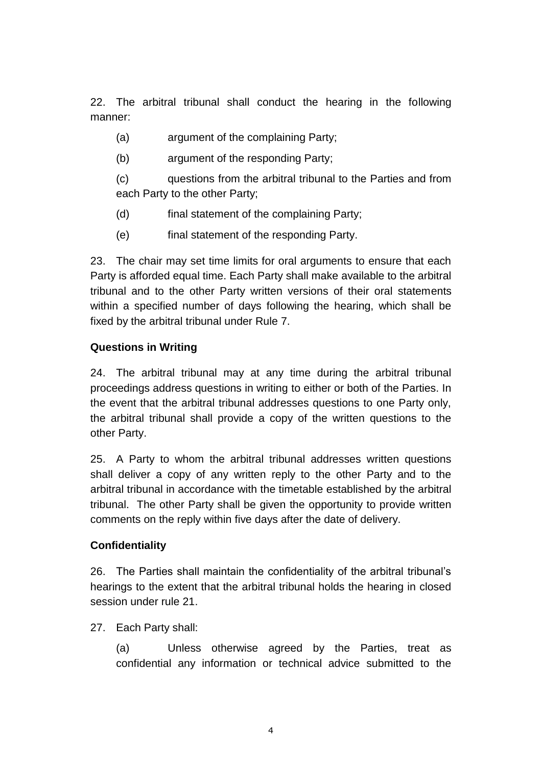22. The arbitral tribunal shall conduct the hearing in the following manner:

- (a) argument of the complaining Party;
- (b) argument of the responding Party;

(c) questions from the arbitral tribunal to the Parties and from each Party to the other Party;

- (d) final statement of the complaining Party;
- (e) final statement of the responding Party.

23. The chair may set time limits for oral arguments to ensure that each Party is afforded equal time. Each Party shall make available to the arbitral tribunal and to the other Party written versions of their oral statements within a specified number of days following the hearing, which shall be fixed by the arbitral tribunal under Rule 7.

### **Questions in Writing**

24. The arbitral tribunal may at any time during the arbitral tribunal proceedings address questions in writing to either or both of the Parties. In the event that the arbitral tribunal addresses questions to one Party only, the arbitral tribunal shall provide a copy of the written questions to the other Party.

25. A Party to whom the arbitral tribunal addresses written questions shall deliver a copy of any written reply to the other Party and to the arbitral tribunal in accordance with the timetable established by the arbitral tribunal. The other Party shall be given the opportunity to provide written comments on the reply within five days after the date of delivery.

#### **Confidentiality**

26. The Parties shall maintain the confidentiality of the arbitral tribunal's hearings to the extent that the arbitral tribunal holds the hearing in closed session under rule 21.

### 27. Each Party shall:

(a) Unless otherwise agreed by the Parties, treat as confidential any information or technical advice submitted to the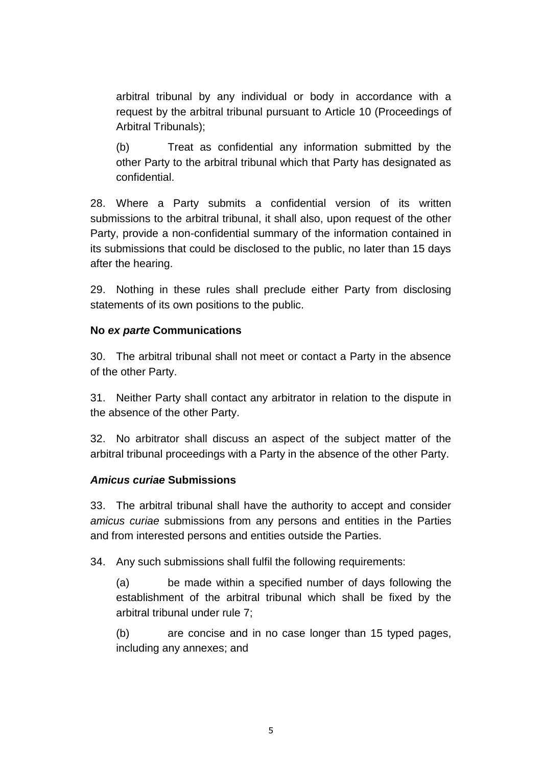arbitral tribunal by any individual or body in accordance with a request by the arbitral tribunal pursuant to Article 10 (Proceedings of Arbitral Tribunals);

(b) Treat as confidential any information submitted by the other Party to the arbitral tribunal which that Party has designated as confidential.

28. Where a Party submits a confidential version of its written submissions to the arbitral tribunal, it shall also, upon request of the other Party, provide a non-confidential summary of the information contained in its submissions that could be disclosed to the public, no later than 15 days after the hearing.

29. Nothing in these rules shall preclude either Party from disclosing statements of its own positions to the public.

### **No** *ex parte* **Communications**

30. The arbitral tribunal shall not meet or contact a Party in the absence of the other Party.

31. Neither Party shall contact any arbitrator in relation to the dispute in the absence of the other Party.

32. No arbitrator shall discuss an aspect of the subject matter of the arbitral tribunal proceedings with a Party in the absence of the other Party.

#### *Amicus curiae* **Submissions**

33. The arbitral tribunal shall have the authority to accept and consider *amicus curiae* submissions from any persons and entities in the Parties and from interested persons and entities outside the Parties.

34. Any such submissions shall fulfil the following requirements:

(a) be made within a specified number of days following the establishment of the arbitral tribunal which shall be fixed by the arbitral tribunal under rule 7;

(b) are concise and in no case longer than 15 typed pages, including any annexes; and